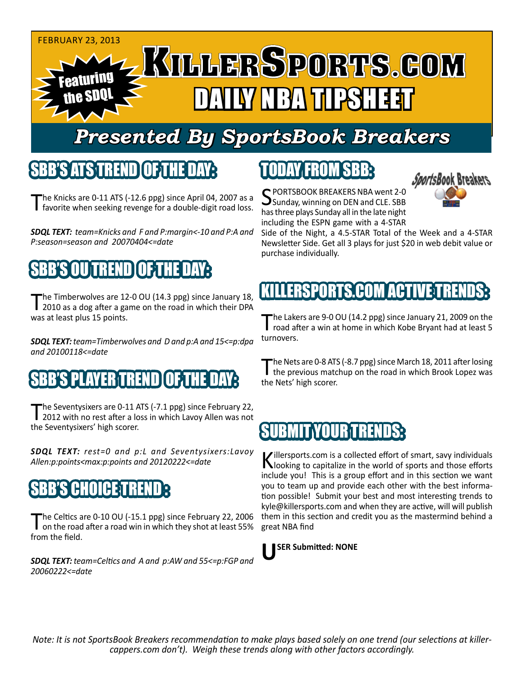#### FEBRUARY 23, 2013 Featuring the SDQL DAILY NBA TIPSHEET

## *Presented By SportsBook Breakers*

#### SBB'S ATS TREN

The Knicks are  $0-11$  ATS ( $-12.6$  ppg) since April 04, 2007 as a favorite when seeking revenge for a double-digit road loss.

*SDQL TEXT: team=Knicks and F and P:margin<-10 and P:A and P:season=season and 20070404<=date*

## BB'S OU TREND I OF TH

The Timberwolves are 12-0 OU (14.3 ppg) since January 18, 2010 as a dog after a game on the road in which their DPA was at least plus 15 points.

*SDQL TEXT: team=Timberwolves and D and p:A and 15<=p:dpa and 20100118<=date*

#### 'S PLAYER TREND I OF T

The Seventysixers are 0-11 ATS (-7.1 ppg) since February 22,<br>2012 with no rest after a loss in which Lavoy Allen was not the Seventysixers' high scorer.

*SDQL TEXT: rest=0 and p:L and Seventysixers:Lavoy Allen:p:points<max:p:points and 20120222<=date*

#### **CHOICE**T

The Celtics are 0-10 OU (-15.1 ppg) since February 22, 2006<br>
on the road after a road win in which they shot at least 55% from the field.

*SDQL TEXT: team=Celtics and A and p:AW and 55<=p:FGP and 20060222<=date*

# TODAY FROM SBB:



SPORTSBOOK BREAKERS NBA went 2-0<br>Sunday, winning on DEN and CLE. SBB has three plays Sunday all in the late night including the ESPN game with a 4-STAR

Side of the Night, a 4.5-STAR Total of the Week and a 4-STAR Newsletter Side. Get all 3 plays for just \$20 in web debit value or purchase individually.

# **KILLERSPORTS.COM ACTIVE TRE**

The Lakers are 9-0 OU (14.2 ppg) since January 21, 2009 on the<br>road after a win at home in which Kobe Bryant had at least 5 turnovers.

The Nets are 0-8 ATS (-8.7 ppg) since March 18, 2011 after losing<br>the previous matchup on the road in which Brook Lopez was the Nets' high scorer.

#### **SUBMIT YOUR TREND**

Killersports.com is a collected effort of smart, savy individuals<br>Nooking to capitalize in the world of sports and those efforts include you! This is a group effort and in this section we want you to team up and provide each other with the best information possible! Submit your best and most interesting trends to kyle@killersports.com and when they are active, will will publish them in this section and credit you as the mastermind behind a great NBA find



*Note: It is not SportsBook Breakers recommendation to make plays based solely on one trend (our selections at killercappers.com don't). Weigh these trends along with other factors accordingly.*